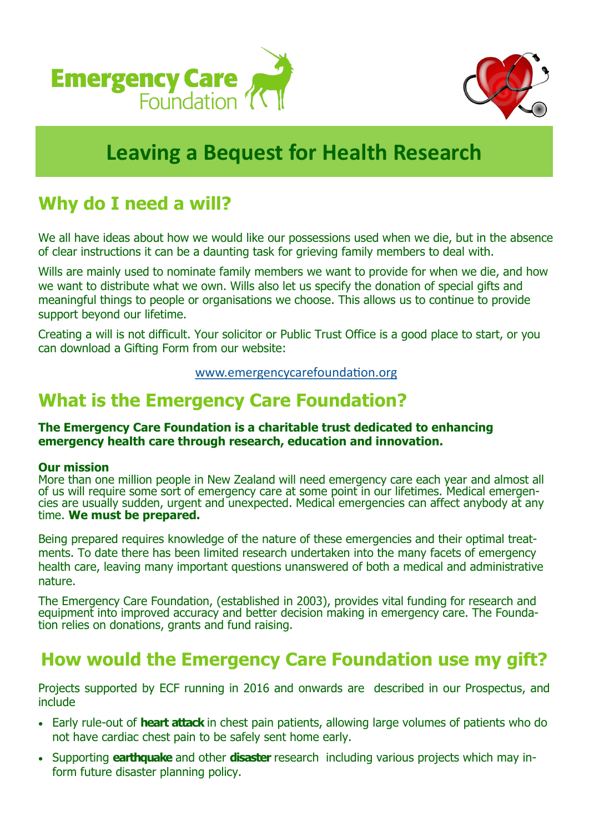



# **Leaving a Bequest for Health Research**

## **Why do I need a will?**

We all have ideas about how we would like our possessions used when we die, but in the absence of clear instructions it can be a daunting task for grieving family members to deal with.

Wills are mainly used to nominate family members we want to provide for when we die, and how we want to distribute what we own. Wills also let us specify the donation of special gifts and meaningful things to people or organisations we choose. This allows us to continue to provide support beyond our lifetime.

Creating a will is not difficult. Your solicitor or Public Trust Office is a good place to start, or you can download a Gifting Form from our website:

www.emergencycarefoundation.org

### **What is the Emergency Care Foundation?**

#### **The Emergency Care Foundation is a charitable trust dedicated to enhancing emergency health care through research, education and innovation.**

#### **Our mission**

More than one million people in New Zealand will need emergency care each year and almost all of us will require some sort of emergency care at some point in our lifetimes. Medical emergencies are usually sudden, urgent and unexpected. Medical emergencies can affect anybody at any time. **We must be prepared.**

Being prepared requires knowledge of the nature of these emergencies and their optimal treatments. To date there has been limited research undertaken into the many facets of emergency health care, leaving many important questions unanswered of both a medical and administrative nature.

The Emergency Care Foundation, (established in 2003), provides vital funding for research and equipment into improved accuracy and better decision making in emergency care. The Foundation relies on donations, grants and fund raising.

### **How would the Emergency Care Foundation use my gift?**

Projects supported by ECF running in 2016 and onwards are described in our Prospectus, and include

- Early rule-out of **heart attack** in chest pain patients, allowing large volumes of patients who do not have cardiac chest pain to be safely sent home early.
- Supporting **earthquake** and other **disaster** research including various projects which may inform future disaster planning policy.